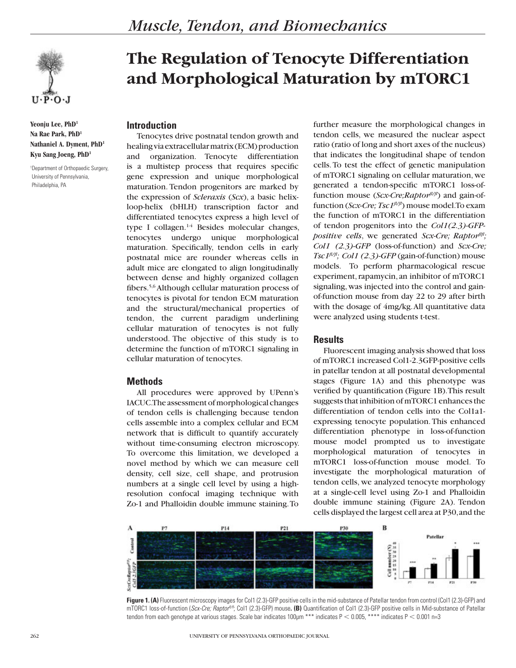

**Yeonju Lee, PhD1 Na Rae Park, PhD1 Nathaniel A. Dyment, PhD1 Kyu Sang Joeng, PhD1**

1 Department of Orthopaedic Surgery, University of Pennsylvania, Philadelphia, PA

# **The Regulation of Tenocyte Differentiation and Morphological Maturation by mTORC1**

## **Introduction**

Tenocytes drive postnatal tendon growth and healing via extracellular matrix (ECM) production and organization. Tenocyte differentiation is a multistep process that requires specific gene expression and unique morphological maturation. Tendon progenitors are marked by the expression of *Scleraxis* (*Scx*), a basic helixloop-helix (bHLH) transcription factor and differentiated tenocytes express a high level of type I collagen. $1-4$  Besides molecular changes, tenocytes undergo unique morphological maturation. Specifically, tendon cells in early postnatal mice are rounder whereas cells in adult mice are elongated to align longitudinally between dense and highly organized collagen fibers.5,6 Although cellular maturation process of tenocytes is pivotal for tendon ECM maturation and the structural/mechanical properties of tendon, the current paradigm underlining cellular maturation of tenocytes is not fully understood. The objective of this study is to determine the function of mTORC1 signaling in cellular maturation of tenocytes.

# **Methods**

All procedures were approved by UPenn's IACUC. The assessment of morphological changes of tendon cells is challenging because tendon cells assemble into a complex cellular and ECM network that is difficult to quantify accurately without time-consuming electron microscopy. To overcome this limitation, we developed a novel method by which we can measure cell density, cell size, cell shape, and protrusion numbers at a single cell level by using a highresolution confocal imaging technique with Zo-1 and Phalloidin double immune staining. To

further measure the morphological changes in tendon cells, we measured the nuclear aspect ratio (ratio of long and short axes of the nucleus) that indicates the longitudinal shape of tendon cells. To test the effect of genetic manipulation of mTORC1 signaling on cellular maturation, we generated a tendon-specific mTORC1 loss-offunction mouse (*Scx-Cre;Raptorfl/fl*) and gain-offunction (*Scx-Cre; Tsc1<sup>fl/fl</sup>*) mouse model. To exam the function of mTORC1 in the differentiation of tendon progenitors into the *Col1(2.3)-GFPpositive cells*, we generated *Scx-Cre; Raptorflfl; Col1 (2.3)-GFP* (loss-of-function) and *Scx-Cre; Tsc1fl/fl; Col1 (2.3)-GFP* (gain-of-function) mouse models. To perform pharmacological rescue experiment, rapamycin, an inhibitor of mTORC1 signaling, was injected into the control and gainof-function mouse from day 22 to 29 after birth with the dosage of 4mg/kg. All quantitative data were analyzed using students t-test.

#### **Results**

Fluorescent imaging analysis showed that loss of mTORC1 increased Col1-2.3GFP-positive cells in patellar tendon at all postnatal developmental stages (Figure 1A) and this phenotype was verified by quantification (Figure 1B). This result suggests that inhibition of mTORC1 enhances the differentiation of tendon cells into the Col1a1 expressing tenocyte population. This enhanced differentiation phenotype in loss-of-function mouse model prompted us to investigate morphological maturation of tenocytes in mTORC1 loss-of-function mouse model. To investigate the morphological maturation of tendon cells, we analyzed tenocyte morphology at a single-cell level using Zo-1 and Phalloidin double immune staining (Figure 2A). Tendon cells displayed the largest cell area at P30, and the



**Figure 1. (A)** Fluorescent microscopy images for Col1 (2.3)-GFP positive cells in the mid-substance of Patellar tendon from control (Col1 (2.3)-GFP) and mTORC1 loss-of-function (*Scx-Cre; Raptorfl/fl*; Col1 (2.3)-GFP) mouse**. (B)** Quantification of Col1 (2.3)-GFP positive cells in Mid-substance of Patellar tendon from each genotype at various stages. Scale bar indicates  $100 \mu m$  \*\*\* indicates  $P < 0.005$ , \*\*\*\* indicates  $P < 0.001$  n=3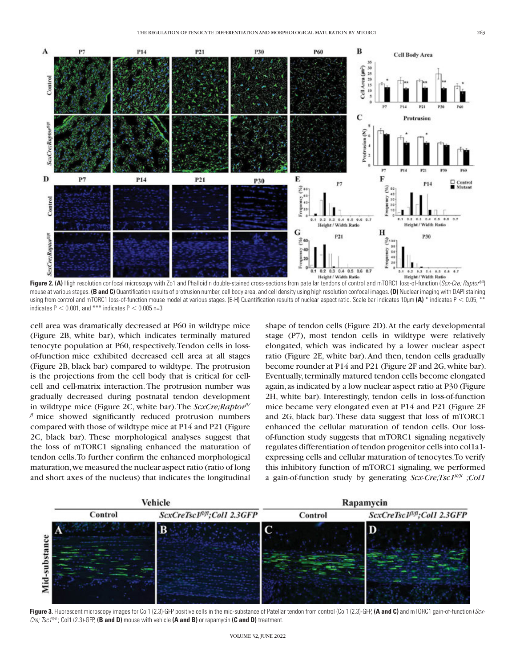

Figure 2. (A) High resolution confocal microscopy with Zo1 and Phalloidin double-stained cross-sections from patellar tendons of control and mTORC1 loss-of-function (*Scx-Cre; Raptor<sup>n/m</sup>*) mouse at various stages. **(B and C)** Quantification results of protrusion number, cell body area, and cell density using high resolution confocal images. **(D)** Nuclear imaging with DAPI staining using from control and mTORC1 loss-of-function mouse model at various stages. (E-H) Quantification results of nuclear aspect ratio. Scale bar indicates 10µm **(A)** \* indicates P < 0.05, \*\* indicates  $P < 0.001$ , and \*\*\* indicates  $P < 0.005$  n=3

cell area was dramatically decreased at P60 in wildtype mice (Figure 2B, white bar), which indicates terminally matured tenocyte population at P60, respectively. Tendon cells in lossof-function mice exhibited decreased cell area at all stages (Figure 2B, black bar) compared to wildtype. The protrusion is the projections from the cell body that is critical for cellcell and cell-matrix interaction. The protrusion number was gradually decreased during postnatal tendon development in wildtype mice (Figure 2C, white bar). The *ScxCre;Raptorfl/ fl* mice showed significantly reduced protrusion numbers compared with those of wildtype mice at P14 and P21 (Figure 2C, black bar). These morphological analyses suggest that the loss of mTORC1 signaling enhanced the maturation of tendon cells. To further confirm the enhanced morphological maturation, we measured the nuclear aspect ratio (ratio of long and short axes of the nucleus) that indicates the longitudinal

shape of tendon cells (Figure 2D). At the early developmental stage (P7), most tendon cells in wildtype were relatively elongated, which was indicated by a lower nuclear aspect ratio (Figure 2E, white bar). And then, tendon cells gradually become rounder at P14 and P21 (Figure 2F and 2G, white bar). Eventually, terminally matured tendon cells become elongated again, as indicated by a low nuclear aspect ratio at P30 (Figure 2H, white bar). Interestingly, tendon cells in loss-of-function mice became very elongated even at P14 and P21 (Figure 2F and 2G, black bar). These data suggest that loss of mTORC1 enhanced the cellular maturation of tendon cells. Our lossof-function study suggests that mTORC1 signaling negatively regulates differentiation of tendon progenitor cells into col1a1 expressing cells and cellular maturation of tenocytes. To verify this inhibitory function of mTORC1 signaling, we performed a gain-of-function study by generating *Scx-Cre;Tsc1fl/fl ;Col1* 



**Figure 3.** Fluorescent microscopy images for Col1 (2.3)-GFP positive cells in the mid-substance of Patellar tendon from control (Col1 (2.3)-GFP, **(A and C)** and mTORC1 gain-of-function (*Scx-Cre; Tsc1fl/fl* ; Col1 (2.3)-GFP, **(B and D)** mouse with vehicle **(A and B)** or rapamycin **(C and D)** treatment.